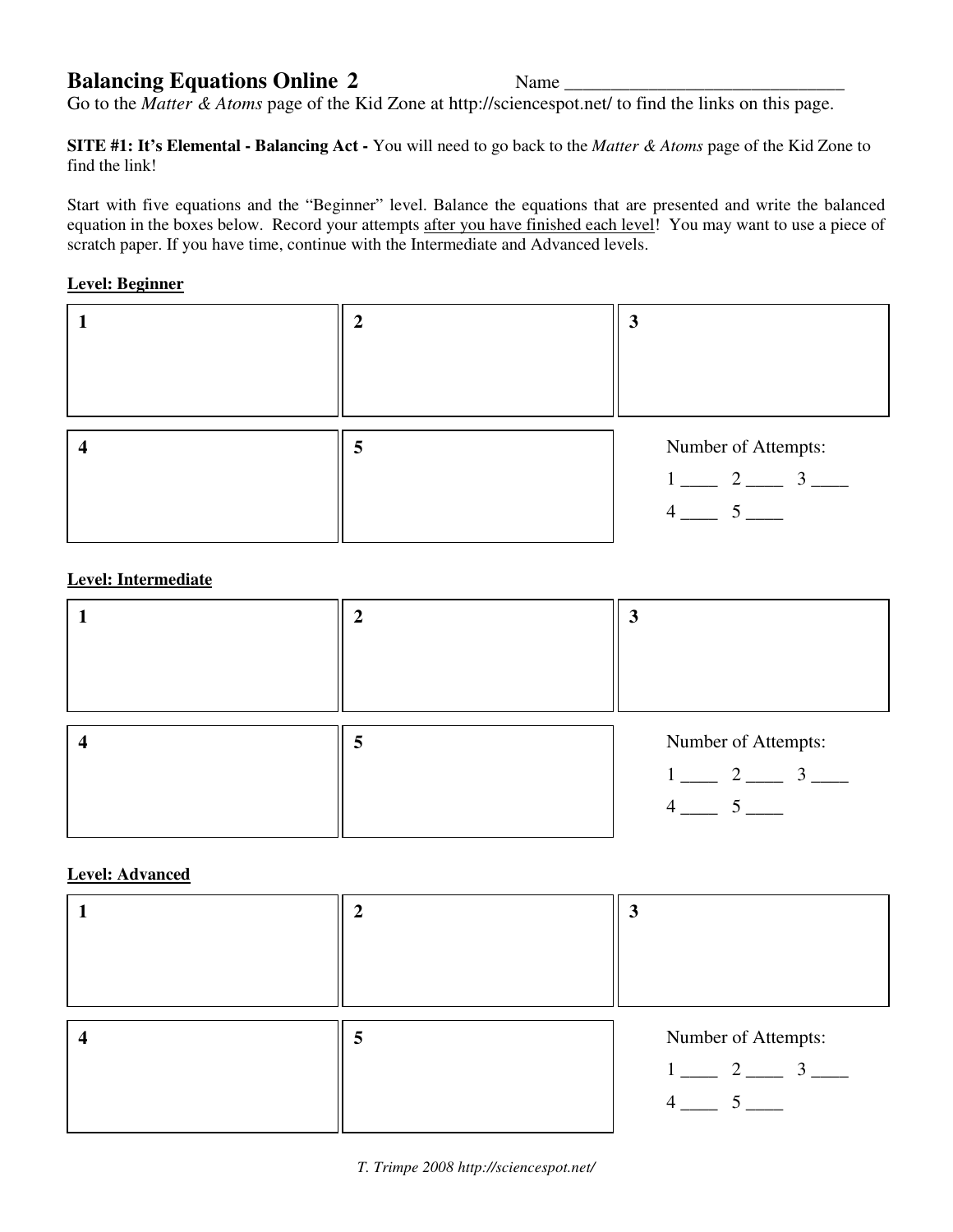## **Balancing Equations Online 2** Name \_\_\_\_\_\_\_\_\_\_\_\_\_\_\_\_\_\_\_\_\_\_\_\_\_\_\_\_\_\_

Go to the *Matter & Atoms* page of the Kid Zone at http://sciencespot.net/ to find the links on this page.

**SITE #1: It's Elemental - Balancing Act -** You will need to go back to the *Matter & Atoms* page of the Kid Zone to find the link!

Start with five equations and the "Beginner" level. Balance the equations that are presented and write the balanced equation in the boxes below. Record your attempts after you have finished each level! You may want to use a piece of scratch paper. If you have time, continue with the Intermediate and Advanced levels.

## **Level: Beginner**



## **Level: Intermediate**

| 5 | Number of Attempts:                                                                |
|---|------------------------------------------------------------------------------------|
|   | $1 \underline{\hspace{1cm}} 2 \underline{\hspace{1cm}} 3 \underline{\hspace{1cm}}$ |
|   | $4 \underline{\hspace{1cm}} 5 \underline{\hspace{1cm}}$                            |
|   |                                                                                    |

## **Level: Advanced**

|  | Ĵ                                                                                  |
|--|------------------------------------------------------------------------------------|
|  |                                                                                    |
|  |                                                                                    |
|  | Number of Attempts:                                                                |
|  | $1 \underline{\hspace{1cm}} 2 \underline{\hspace{1cm}} 3 \underline{\hspace{1cm}}$ |
|  | $\overline{4}$                                                                     |